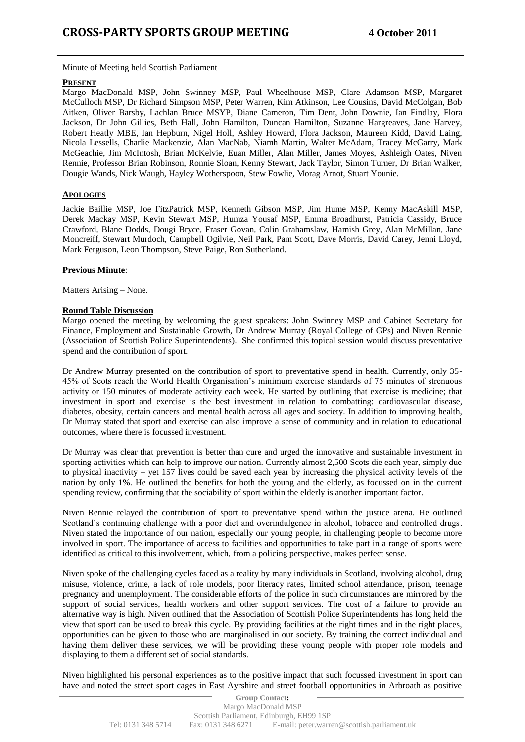Minute of Meeting held Scottish Parliament

## **PRESENT**

Margo MacDonald MSP, John Swinney MSP, Paul Wheelhouse MSP, Clare Adamson MSP, Margaret McCulloch MSP, Dr Richard Simpson MSP, Peter Warren, Kim Atkinson, Lee Cousins, David McColgan, Bob Aitken, Oliver Barsby, Lachlan Bruce MSYP, Diane Cameron, Tim Dent, John Downie, Ian Findlay, Flora Jackson, Dr John Gillies, Beth Hall, John Hamilton, Duncan Hamilton, Suzanne Hargreaves, Jane Harvey, Robert Heatly MBE, Ian Hepburn, Nigel Holl, Ashley Howard, Flora Jackson, Maureen Kidd, David Laing, Nicola Lessells, Charlie Mackenzie, Alan MacNab, Niamh Martin, Walter McAdam, Tracey McGarry, Mark McGeachie, Jim McIntosh, Brian McKelvie, Euan Miller, Alan Miller, James Moyes, Ashleigh Oates, Niven Rennie, Professor Brian Robinson, Ronnie Sloan, Kenny Stewart, Jack Taylor, Simon Turner, Dr Brian Walker, Dougie Wands, Nick Waugh, Hayley Wotherspoon, Stew Fowlie, Morag Arnot, Stuart Younie.

## **APOLOGIES**

Jackie Baillie MSP, Joe FitzPatrick MSP, Kenneth Gibson MSP, Jim Hume MSP, Kenny MacAskill MSP, Derek Mackay MSP, Kevin Stewart MSP, Humza Yousaf MSP, Emma Broadhurst, Patricia Cassidy, Bruce Crawford, Blane Dodds, Dougi Bryce, Fraser Govan, Colin Grahamslaw, Hamish Grey, Alan McMillan, Jane Moncreiff, Stewart Murdoch, Campbell Ogilvie, Neil Park, Pam Scott, Dave Morris, David Carey, Jenni Lloyd, Mark Ferguson, Leon Thompson, Steve Paige, Ron Sutherland.

## **Previous Minute**:

Matters Arising – None.

## **Round Table Discussion**

Margo opened the meeting by welcoming the guest speakers: John Swinney MSP and Cabinet Secretary for Finance, Employment and Sustainable Growth, Dr Andrew Murray (Royal College of GPs) and Niven Rennie (Association of Scottish Police Superintendents). She confirmed this topical session would discuss preventative spend and the contribution of sport.

Dr Andrew Murray presented on the contribution of sport to preventative spend in health. Currently, only 35- 45% of Scots reach the World Health Organisation's minimum exercise standards of 75 minutes of strenuous activity or 150 minutes of moderate activity each week. He started by outlining that exercise is medicine; that investment in sport and exercise is the best investment in relation to combatting: cardiovascular disease, diabetes, obesity, certain cancers and mental health across all ages and society. In addition to improving health, Dr Murray stated that sport and exercise can also improve a sense of community and in relation to educational outcomes, where there is focussed investment.

Dr Murray was clear that prevention is better than cure and urged the innovative and sustainable investment in sporting activities which can help to improve our nation. Currently almost 2,500 Scots die each year, simply due to physical inactivity – yet 157 lives could be saved each year by increasing the physical activity levels of the nation by only 1%. He outlined the benefits for both the young and the elderly, as focussed on in the current spending review, confirming that the sociability of sport within the elderly is another important factor.

Niven Rennie relayed the contribution of sport to preventative spend within the justice arena. He outlined Scotland's continuing challenge with a poor diet and overindulgence in alcohol, tobacco and controlled drugs. Niven stated the importance of our nation, especially our young people, in challenging people to become more involved in sport. The importance of access to facilities and opportunities to take part in a range of sports were identified as critical to this involvement, which, from a policing perspective, makes perfect sense.

Niven spoke of the challenging cycles faced as a reality by many individuals in Scotland, involving alcohol, drug misuse, violence, crime, a lack of role models, poor literacy rates, limited school attendance, prison, teenage pregnancy and unemployment. The considerable efforts of the police in such circumstances are mirrored by the support of social services, health workers and other support services. The cost of a failure to provide an alternative way is high. Niven outlined that the Association of Scottish Police Superintendents has long held the view that sport can be used to break this cycle. By providing facilities at the right times and in the right places, opportunities can be given to those who are marginalised in our society. By training the correct individual and having them deliver these services, we will be providing these young people with proper role models and displaying to them a different set of social standards.

Niven highlighted his personal experiences as to the positive impact that such focussed investment in sport can have and noted the street sport cages in East Ayrshire and street football opportunities in Arbroath as positive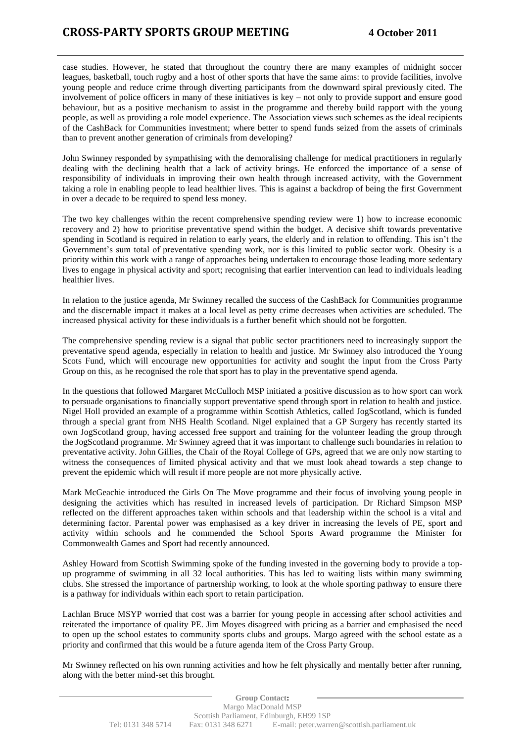case studies. However, he stated that throughout the country there are many examples of midnight soccer leagues, basketball, touch rugby and a host of other sports that have the same aims: to provide facilities, involve young people and reduce crime through diverting participants from the downward spiral previously cited. The involvement of police officers in many of these initiatives is key – not only to provide support and ensure good behaviour, but as a positive mechanism to assist in the programme and thereby build rapport with the young people, as well as providing a role model experience. The Association views such schemes as the ideal recipients of the CashBack for Communities investment; where better to spend funds seized from the assets of criminals than to prevent another generation of criminals from developing?

John Swinney responded by sympathising with the demoralising challenge for medical practitioners in regularly dealing with the declining health that a lack of activity brings. He enforced the importance of a sense of responsibility of individuals in improving their own health through increased activity, with the Government taking a role in enabling people to lead healthier lives. This is against a backdrop of being the first Government in over a decade to be required to spend less money.

The two key challenges within the recent comprehensive spending review were 1) how to increase economic recovery and 2) how to prioritise preventative spend within the budget. A decisive shift towards preventative spending in Scotland is required in relation to early years, the elderly and in relation to offending. This isn't the Government's sum total of preventative spending work, nor is this limited to public sector work. Obesity is a priority within this work with a range of approaches being undertaken to encourage those leading more sedentary lives to engage in physical activity and sport; recognising that earlier intervention can lead to individuals leading healthier lives.

In relation to the justice agenda, Mr Swinney recalled the success of the CashBack for Communities programme and the discernable impact it makes at a local level as petty crime decreases when activities are scheduled. The increased physical activity for these individuals is a further benefit which should not be forgotten.

The comprehensive spending review is a signal that public sector practitioners need to increasingly support the preventative spend agenda, especially in relation to health and justice. Mr Swinney also introduced the Young Scots Fund, which will encourage new opportunities for activity and sought the input from the Cross Party Group on this, as he recognised the role that sport has to play in the preventative spend agenda.

In the questions that followed Margaret McCulloch MSP initiated a positive discussion as to how sport can work to persuade organisations to financially support preventative spend through sport in relation to health and justice. Nigel Holl provided an example of a programme within Scottish Athletics, called JogScotland, which is funded through a special grant from NHS Health Scotland. Nigel explained that a GP Surgery has recently started its own JogScotland group, having accessed free support and training for the volunteer leading the group through the JogScotland programme. Mr Swinney agreed that it was important to challenge such boundaries in relation to preventative activity. John Gillies, the Chair of the Royal College of GPs, agreed that we are only now starting to witness the consequences of limited physical activity and that we must look ahead towards a step change to prevent the epidemic which will result if more people are not more physically active.

Mark McGeachie introduced the Girls On The Move programme and their focus of involving young people in designing the activities which has resulted in increased levels of participation. Dr Richard Simpson MSP reflected on the different approaches taken within schools and that leadership within the school is a vital and determining factor. Parental power was emphasised as a key driver in increasing the levels of PE, sport and activity within schools and he commended the School Sports Award programme the Minister for Commonwealth Games and Sport had recently announced.

Ashley Howard from Scottish Swimming spoke of the funding invested in the governing body to provide a topup programme of swimming in all 32 local authorities. This has led to waiting lists within many swimming clubs. She stressed the importance of partnership working, to look at the whole sporting pathway to ensure there is a pathway for individuals within each sport to retain participation.

Lachlan Bruce MSYP worried that cost was a barrier for young people in accessing after school activities and reiterated the importance of quality PE. Jim Moyes disagreed with pricing as a barrier and emphasised the need to open up the school estates to community sports clubs and groups. Margo agreed with the school estate as a priority and confirmed that this would be a future agenda item of the Cross Party Group.

Mr Swinney reflected on his own running activities and how he felt physically and mentally better after running, along with the better mind-set this brought.